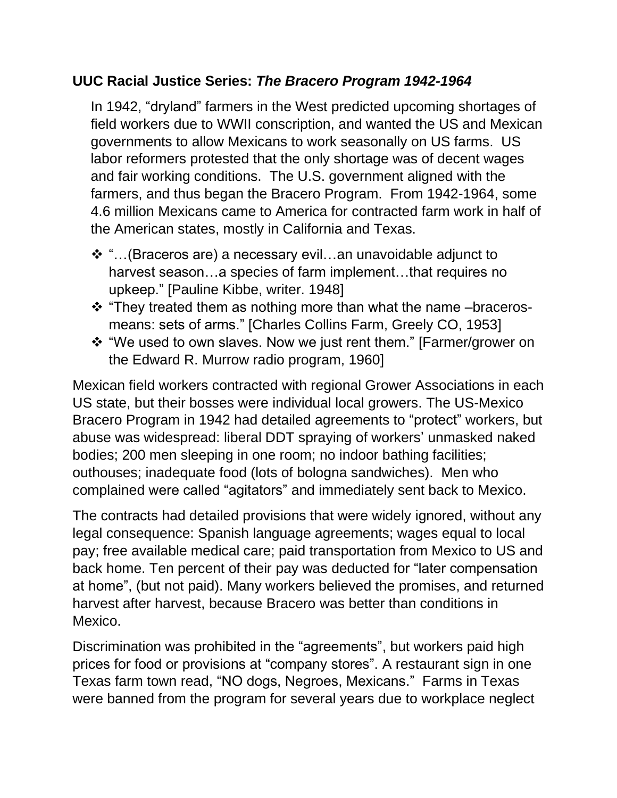## **UUC Racial Justice Series:** *The Bracero Program 1942-1964*

In 1942, "dryland" farmers in the West predicted upcoming shortages of field workers due to WWII conscription, and wanted the US and Mexican governments to allow Mexicans to work seasonally on US farms. US labor reformers protested that the only shortage was of decent wages and fair working conditions. The U.S. government aligned with the farmers, and thus began the Bracero Program. From 1942-1964, some 4.6 million Mexicans came to America for contracted farm work in half of the American states, mostly in California and Texas.

- ❖ "…(Braceros are) a necessary evil…an unavoidable adjunct to harvest season...a species of farm implement...that requires no upkeep." [Pauline Kibbe, writer. 1948]
- ❖ "They treated them as nothing more than what the name –bracerosmeans: sets of arms." [Charles Collins Farm, Greely CO, 1953]
- ❖ "We used to own slaves. Now we just rent them." [Farmer/grower on the Edward R. Murrow radio program, 1960]

Mexican field workers contracted with regional Grower Associations in each US state, but their bosses were individual local growers. The US-Mexico Bracero Program in 1942 had detailed agreements to "protect" workers, but abuse was widespread: liberal DDT spraying of workers' unmasked naked bodies; 200 men sleeping in one room; no indoor bathing facilities; outhouses; inadequate food (lots of bologna sandwiches). Men who complained were called "agitators" and immediately sent back to Mexico.

The contracts had detailed provisions that were widely ignored, without any legal consequence: Spanish language agreements; wages equal to local pay; free available medical care; paid transportation from Mexico to US and back home. Ten percent of their pay was deducted for "later compensation at home", (but not paid). Many workers believed the promises, and returned harvest after harvest, because Bracero was better than conditions in Mexico.

Discrimination was prohibited in the "agreements", but workers paid high prices for food or provisions at "company stores". A restaurant sign in one Texas farm town read, "NO dogs, Negroes, Mexicans." Farms in Texas were banned from the program for several years due to workplace neglect